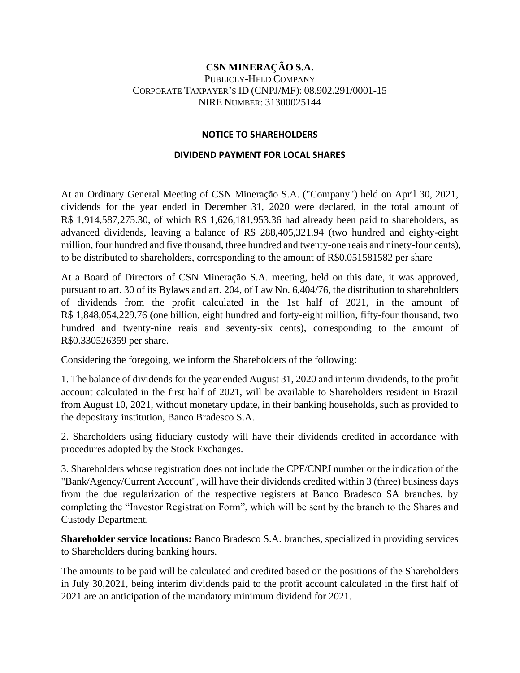## **CSN MINERAÇÃO S.A.** PUBLICLY-HELD COMPANY CORPORATE TAXPAYER'S ID (CNPJ/MF): 08.902.291/0001-15 NIRE NUMBER: 31300025144

## **NOTICE TO SHAREHOLDERS**

## **DIVIDEND PAYMENT FOR LOCAL SHARES**

At an Ordinary General Meeting of CSN Mineração S.A. ("Company") held on April 30, 2021, dividends for the year ended in December 31, 2020 were declared, in the total amount of R\$ 1,914,587,275.30, of which R\$ 1,626,181,953.36 had already been paid to shareholders, as advanced dividends, leaving a balance of R\$ 288,405,321.94 (two hundred and eighty-eight million, four hundred and five thousand, three hundred and twenty-one reais and ninety-four cents), to be distributed to shareholders, corresponding to the amount of R\$0.051581582 per share

At a Board of Directors of CSN Mineração S.A. meeting, held on this date, it was approved, pursuant to art. 30 of its Bylaws and art. 204, of Law No. 6,404/76, the distribution to shareholders of dividends from the profit calculated in the 1st half of 2021, in the amount of R\$ 1,848,054,229.76 (one billion, eight hundred and forty-eight million, fifty-four thousand, two hundred and twenty-nine reais and seventy-six cents), corresponding to the amount of R\$0.330526359 per share.

Considering the foregoing, we inform the Shareholders of the following:

1. The balance of dividends for the year ended August 31, 2020 and interim dividends, to the profit account calculated in the first half of 2021, will be available to Shareholders resident in Brazil from August 10, 2021, without monetary update, in their banking households, such as provided to the depositary institution, Banco Bradesco S.A.

2. Shareholders using fiduciary custody will have their dividends credited in accordance with procedures adopted by the Stock Exchanges.

3. Shareholders whose registration does not include the CPF/CNPJ number or the indication of the "Bank/Agency/Current Account", will have their dividends credited within 3 (three) business days from the due regularization of the respective registers at Banco Bradesco SA branches, by completing the "Investor Registration Form", which will be sent by the branch to the Shares and Custody Department.

**Shareholder service locations:** Banco Bradesco S.A. branches, specialized in providing services to Shareholders during banking hours.

The amounts to be paid will be calculated and credited based on the positions of the Shareholders in July 30,2021, being interim dividends paid to the profit account calculated in the first half of 2021 are an anticipation of the mandatory minimum dividend for 2021.